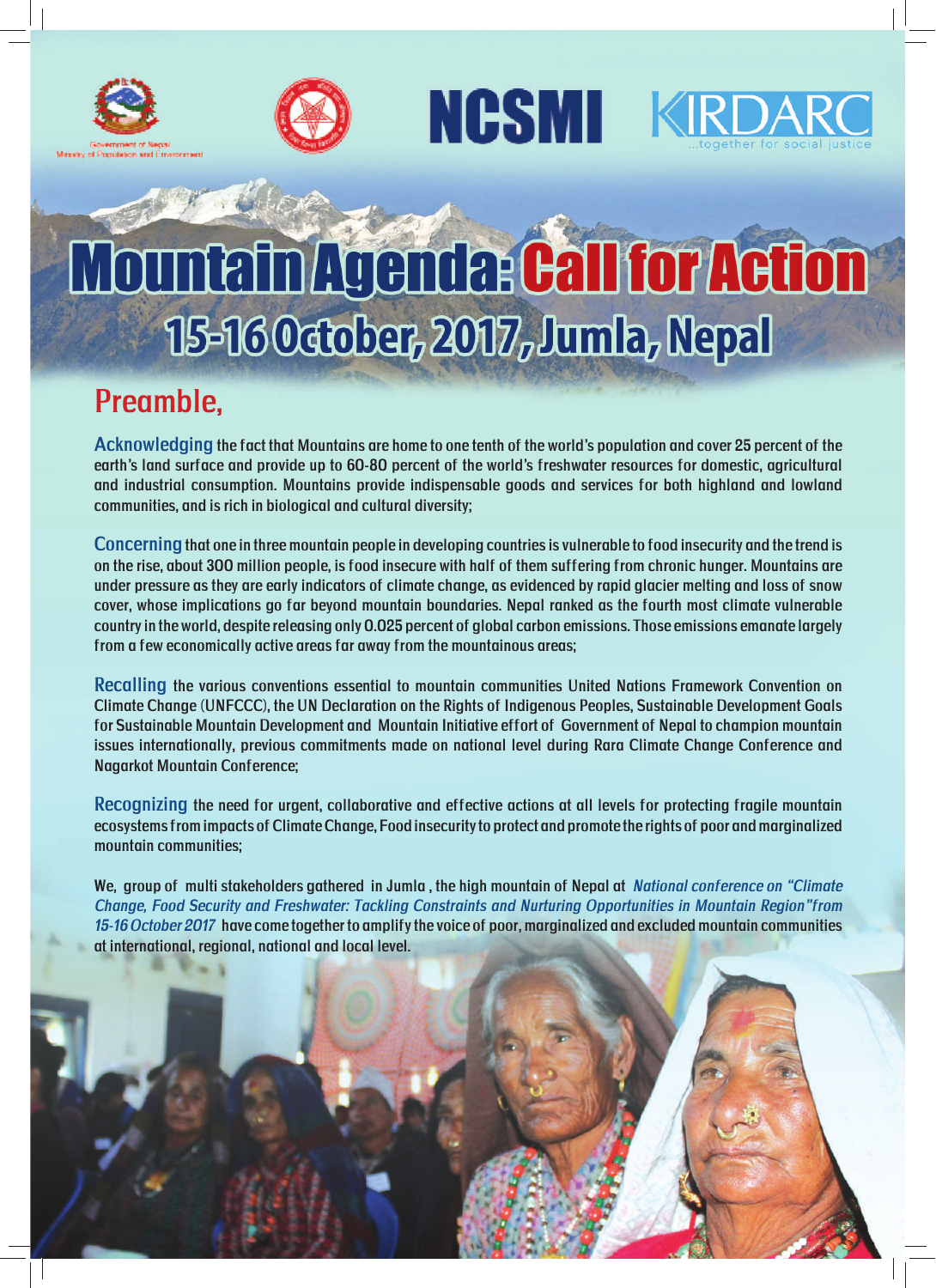





## Mountain Agenda: Call for Action 15-16 October, 2017, Jumla, Nepal

## Preamble,

Acknowledging the fact that Mountains are home to one tenth of the world's population and cover 25 percent of the earth's land surface and provide up to 60-80 percent of the world's freshwater resources for domestic, agricultural and industrial consumption. Mountains provide indispensable goods and services for both highland and lowland communities, and is rich in biological and cultural diversity;

Concerning that one in three mountain people in developing countries is vulnerable to food insecurity and the trend is on the rise, about 300 million people, is food insecure with half of them suffering from chronic hunger. Mountains are under pressure as they are early indicators of climate change, as evidenced by rapid glacier melting and loss of snow cover, whose implications go far beyond mountain boundaries. Nepal ranked as the fourth most climate vulnerable country in the world, despite releasing only 0.025 percent of global carbon emissions. Those emissions emanate largely from a few economically active areas far away from the mountainous areas;

Recalling the various conventions essential to mountain communities United Nations Framework Convention on Climate Change (UNFCCC), the UN Declaration on the Rights of Indigenous Peoples, Sustainable Development Goals for Sustainable Mountain Development and Mountain Initiative effort of Government of Nepal to champion mountain issues internationally, previous commitments made on national level during Rara Climate Change Conference and Nagarkot Mountain Conference;

Recognizing the need for urgent, collaborative and effective actions at all levels for protecting fragile mountain ecosystems from impacts of Climate Change, Food insecurity to protect and promote the rights of poor and marginalized mountain communities;

We, group of multi stakeholders gathered in Jumla, the high mountain of Nepal at National conference on "Climate Change, Food Security and Freshwater: Tackling Constraints and Nurturing Opportunities in Mountain Region"from 15-16 October 2017 have come together to amplify the voice of poor, marginalized and excluded mountain communities at international, regional, national and local level.